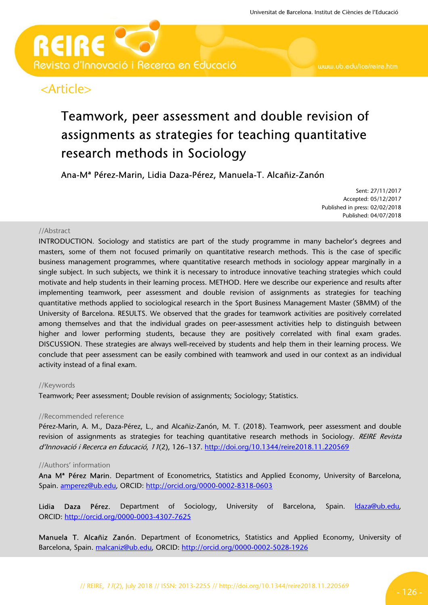

# <Article>

# Teamwork, peer assessment and double revision of assignments as strategies for teaching quantitative research methods in Sociology

Ana-Mª Pérez-Marin, Lidia Daza-Pérez, Manuela-T. Alcañiz-Zanón

Sent: 27/11/2017 Accepted: 05/12/2017 Published in press: 02/02/2018 Published: 04/07/2018

### //Abstract

INTRODUCTION. Sociology and statistics are part of the study programme in many bachelor's degrees and masters, some of them not focused primarily on quantitative research methods. This is the case of specific business management programmes, where quantitative research methods in sociology appear marginally in a single subject. In such subjects, we think it is necessary to introduce innovative teaching strategies which could motivate and help students in their learning process. METHOD. Here we describe our experience and results after implementing teamwork, peer assessment and double revision of assignments as strategies for teaching quantitative methods applied to sociological research in the Sport Business Management Master (SBMM) of the University of Barcelona. RESULTS. We observed that the grades for teamwork activities are positively correlated among themselves and that the individual grades on peer-assessment activities help to distinguish between higher and lower performing students, because they are positively correlated with final exam grades. DISCUSSION. These strategies are always well-received by students and help them in their learning process. We conclude that peer assessment can be easily combined with teamwork and used in our context as an individual activity instead of a final exam.

### //Keywords

Teamwork; Peer assessment; Double revision of assignments; Sociology; Statistics.

### //Recommended reference

Pérez-Marin, A. M., Daza-Pérez, L., and Alcañiz-Zanón, M. T. (2018). Teamwork, peer assessment and double revision of assignments as strategies for teaching quantitative research methods in Sociology. REIRE Revista d'Innovació i Recerca en Educació, 11(2), 126–137. http://doi.org/10.1344/reire2018.11.220569

### //Authors' information

Ana M<sup>ª</sup> Pérez Marin. Department of Econometrics, Statistics and Applied Economy, University of Barcelona, Spain. amperez@ub.edu, ORCID: http://orcid.org/0000-0002-8318-0603

Lidia Daza Pérez. Department of Sociology, University of Barcelona, Spain. Idaza@ub.edu, ORCID: http://orcid.org/0000-0003-4307-7625

Manuela T. Alcañiz Zanón. Department of Econometrics, Statistics and Applied Economy, University of Barcelona, Spain. malcaniz@ub.edu, ORCID: http://orcid.org/0000-0002-5028-1926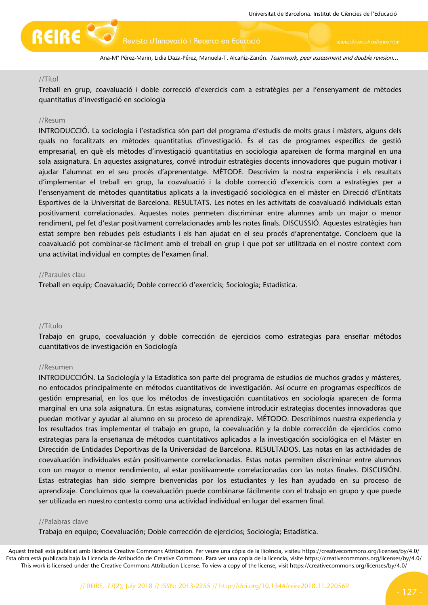

#### //Títol

Treball en grup, coavaluació i doble correcció d'exercicis com a estratègies per a l'ensenyament de mètodes quantitatius d'investigació en sociologia

#### //Resum

INTRODUCCIÓ. La sociologia i l'estadística són part del programa d'estudis de molts graus i màsters, alguns dels quals no focalitzats en mètodes quantitatius d'investigació. És el cas de programes específics de gestió empresarial, en què els mètodes d'investigació quantitatius en sociologia apareixen de forma marginal en una sola assignatura. En aquestes assignatures, convé introduir estratègies docents innovadores que puguin motivar i ajudar l'alumnat en el seu procés d'aprenentatge. MÈTODE. Descrivim la nostra experiència i els resultats d'implementar el treball en grup, la coavaluació i la doble correcció d'exercicis com a estratègies per a l'ensenyament de mètodes quantitatius aplicats a la investigació sociològica en el màster en Direcció d'Entitats Esportives de la Universitat de Barcelona. RESULTATS. Les notes en les activitats de coavaluació individuals estan positivament correlacionades. Aquestes notes permeten discriminar entre alumnes amb un major o menor rendiment, pel fet d'estar positivament correlacionades amb les notes finals. DISCUSSIÓ. Aquestes estratègies han estat sempre ben rebudes pels estudiants i els han ajudat en el seu procés d'aprenentatge. Concloem que la coavaluació pot combinar-se fàcilment amb el treball en grup i que pot ser utilitzada en el nostre context com una activitat individual en comptes de l'examen final.

#### //Paraules clau

Treball en equip; Coavaluació; Doble correcció d'exercicis; Sociologia; Estadística.

### //Título

Trabajo en grupo, coevaluación y doble corrección de ejercicios como estrategias para enseñar métodos cuantitativos de investigación en Sociología

#### //Resumen

INTRODUCCIÓN. La Sociología y la Estadística son parte del programa de estudios de muchos grados y másteres, no enfocados principalmente en métodos cuantitativos de investigación. Así ocurre en programas específicos de gestión empresarial, en los que los métodos de investigación cuantitativos en sociología aparecen de forma marginal en una sola asignatura. En estas asignaturas, conviene introducir estrategias docentes innovadoras que puedan motivar y ayudar al alumno en su proceso de aprendizaje. MÉTODO. Describimos nuestra experiencia y los resultados tras implementar el trabajo en grupo, la coevaluación y la doble corrección de ejercicios como estrategias para la enseñanza de métodos cuantitativos aplicados a la investigación sociológica en el Máster en Dirección de Entidades Deportivas de la Universidad de Barcelona. RESULTADOS. Las notas en las actividades de coevaluación individuales están positivamente correlacionadas. Estas notas permiten discriminar entre alumnos con un mayor o menor rendimiento, al estar positivamente correlacionadas con las notas finales. DISCUSIÓN. Estas estrategias han sido siempre bienvenidas por los estudiantes y les han ayudado en su proceso de aprendizaje. Concluimos que la coevaluación puede combinarse fácilmente con el trabajo en grupo y que puede ser utilizada en nuestro contexto como una actividad individual en lugar del examen final.

#### //Palabras clave

Trabajo en equipo; Coevaluación; Doble corrección de ejercicios; Sociología; Estadística.

Aquest treball està publicat amb llicència Creative Commons Attribution. Per veure una còpia de la llicència, visiteu https://creativecommons.org/licenses/by/4.0/ Esta obra está publicada bajo la Licencia de Atribución de Creative Commons. Para ver una copia de la licencia, visite https://creativecommons.org/licenses/by/4.0/ This work is licensed under the Creative Commons Attribution License. To view a copy of the license, visit https://creativecommons.org/licenses/by/4.0/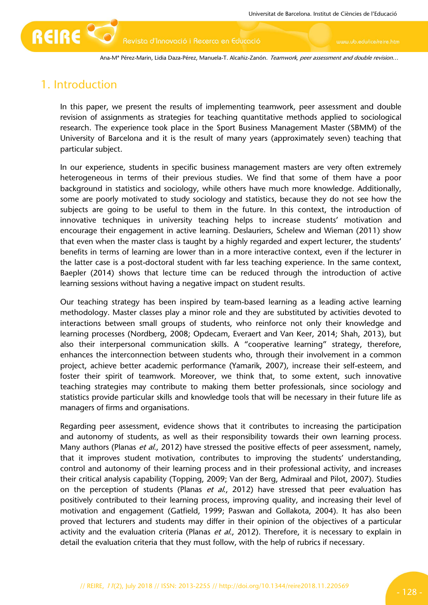

# 1. Introduction

In this paper, we present the results of implementing teamwork, peer assessment and double revision of assignments as strategies for teaching quantitative methods applied to sociological research. The experience took place in the Sport Business Management Master (SBMM) of the University of Barcelona and it is the result of many years (approximately seven) teaching that particular subject.

In our experience, students in specific business management masters are very often extremely heterogeneous in terms of their previous studies. We find that some of them have a poor background in statistics and sociology, while others have much more knowledge. Additionally, some are poorly motivated to study sociology and statistics, because they do not see how the subjects are going to be useful to them in the future. In this context, the introduction of innovative techniques in university teaching helps to increase students' motivation and encourage their engagement in active learning. Deslauriers, Schelew and Wieman (2011) show that even when the master class is taught by a highly regarded and expert lecturer, the students' benefits in terms of learning are lower than in a more interactive context, even if the lecturer in the latter case is a post-doctoral student with far less teaching experience. In the same context, Baepler (2014) shows that lecture time can be reduced through the introduction of active learning sessions without having a negative impact on student results.

Our teaching strategy has been inspired by team-based learning as a leading active learning methodology. Master classes play a minor role and they are substituted by activities devoted to interactions between small groups of students, who reinforce not only their knowledge and learning processes (Nordberg, 2008; Opdecam, Everaert and Van Keer, 2014; Shah, 2013), but also their interpersonal communication skills. A "cooperative learning" strategy, therefore, enhances the interconnection between students who, through their involvement in a common project, achieve better academic performance (Yamarik, 2007), increase their self-esteem, and foster their spirit of teamwork. Moreover, we think that, to some extent, such innovative teaching strategies may contribute to making them better professionals, since sociology and statistics provide particular skills and knowledge tools that will be necessary in their future life as managers of firms and organisations.

Regarding peer assessment, evidence shows that it contributes to increasing the participation and autonomy of students, as well as their responsibility towards their own learning process. Many authors (Planas et al., 2012) have stressed the positive effects of peer assessment, namely, that it improves student motivation, contributes to improving the students' understanding, control and autonomy of their learning process and in their professional activity, and increases their critical analysis capability (Topping, 2009; Van der Berg, Admiraal and Pilot, 2007). Studies on the perception of students (Planas *et al.*, 2012) have stressed that peer evaluation has positively contributed to their learning process, improving quality, and increasing their level of motivation and engagement (Gatfield, 1999; Paswan and Gollakota, 2004). It has also been proved that lecturers and students may differ in their opinion of the objectives of a particular activity and the evaluation criteria (Planas *et al.*, 2012). Therefore, it is necessary to explain in detail the evaluation criteria that they must follow, with the help of rubrics if necessary.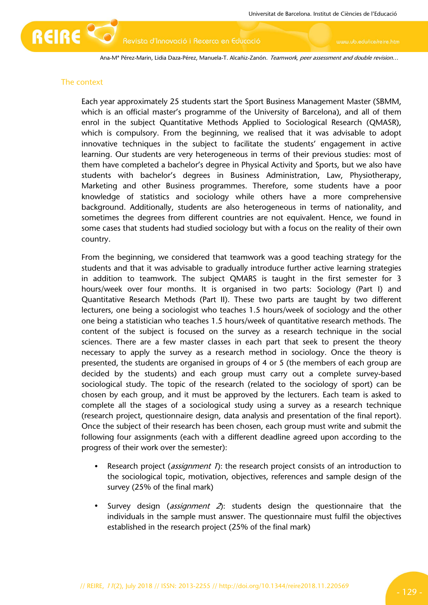

### The context

Each year approximately 25 students start the Sport Business Management Master (SBMM, which is an official master's programme of the University of Barcelona), and all of them enrol in the subject Quantitative Methods Applied to Sociological Research (QMASR), which is compulsory. From the beginning, we realised that it was advisable to adopt innovative techniques in the subject to facilitate the students' engagement in active learning. Our students are very heterogeneous in terms of their previous studies: most of them have completed a bachelor's degree in Physical Activity and Sports, but we also have students with bachelor's degrees in Business Administration, Law, Physiotherapy, Marketing and other Business programmes. Therefore, some students have a poor knowledge of statistics and sociology while others have a more comprehensive background. Additionally, students are also heterogeneous in terms of nationality, and sometimes the degrees from different countries are not equivalent. Hence, we found in some cases that students had studied sociology but with a focus on the reality of their own country.

From the beginning, we considered that teamwork was a good teaching strategy for the students and that it was advisable to gradually introduce further active learning strategies in addition to teamwork. The subject QMARS is taught in the first semester for 3 hours/week over four months. It is organised in two parts: Sociology (Part I) and Quantitative Research Methods (Part II). These two parts are taught by two different lecturers, one being a sociologist who teaches 1.5 hours/week of sociology and the other one being a statistician who teaches 1.5 hours/week of quantitative research methods. The content of the subject is focused on the survey as a research technique in the social sciences. There are a few master classes in each part that seek to present the theory necessary to apply the survey as a research method in sociology. Once the theory is presented, the students are organised in groups of 4 or 5 (the members of each group are decided by the students) and each group must carry out a complete survey-based sociological study. The topic of the research (related to the sociology of sport) can be chosen by each group, and it must be approved by the lecturers. Each team is asked to complete all the stages of a sociological study using a survey as a research technique (research project, questionnaire design, data analysis and presentation of the final report). Once the subject of their research has been chosen, each group must write and submit the following four assignments (each with a different deadline agreed upon according to the progress of their work over the semester):

- Research project (*assignment 1*): the research project consists of an introduction to the sociological topic, motivation, objectives, references and sample design of the survey (25% of the final mark)
- Survey design (*assignment 2*): students design the questionnaire that the individuals in the sample must answer. The questionnaire must fulfil the objectives established in the research project (25% of the final mark)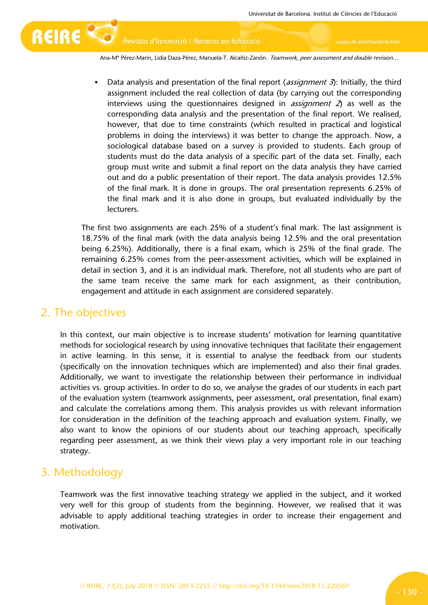

Data analysis and presentation of the final report (*assignment 3*): Initially, the third assignment included the real collection of data (by carrying out the corresponding interviews using the questionnaires designed in *assignment*  $2$  as well as the corresponding data analysis and the presentation of the final report. We realised, however, that due to time constraints (which resulted in practical and logistical problems in doing the interviews) it was better to change the approach. Now, a sociological database based on a survey is provided to students. Each group of students must do the data analysis of a specific part of the data set. Finally, each group must write and submit a final report on the data analysis they have carried out and do a public presentation of their report. The data analysis provides 12.5% of the final mark. It is done in groups. The oral presentation represents 6.25% of the final mark and it is also done in groups, but evaluated individually by the lecturers.

The first two assignments are each 25% of a student's final mark. The last assignment is 18.75% of the final mark (with the data analysis being 12.5% and the oral presentation being 6.25%). Additionally, there is a final exam, which is 25% of the final grade. The remaining 6.25% comes from the peer-assessment activities, which will be explained in detail in section 3, and it is an individual mark. Therefore, not all students who are part of the same team receive the same mark for each assignment, as their contribution, engagement and attitude in each assignment are considered separately.

### 2. The objectives

In this context, our main objective is to increase students' motivation for learning quantitative methods for sociological research by using innovative techniques that facilitate their engagement in active learning. In this sense, it is essential to analyse the feedback from our students (specifically on the innovation techniques which are implemented) and also their final grades. Additionally, we want to investigate the relationship between their performance in individual activities vs. group activities. In order to do so, we analyse the grades of our students in each part of the evaluation system (teamwork assignments, peer assessment, oral presentation, final exam) and calculate the correlations among them. This analysis provides us with relevant information for consideration in the definition of the teaching approach and evaluation system. Finally, we also want to know the opinions of our students about our teaching approach, specifically regarding peer assessment, as we think their views play a very important role in our teaching strategy.

# 3. Methodology

Teamwork was the first innovative teaching strategy we applied in the subject, and it worked very well for this group of students from the beginning. However, we realised that it was advisable to apply additional teaching strategies in order to increase their engagement and motivation.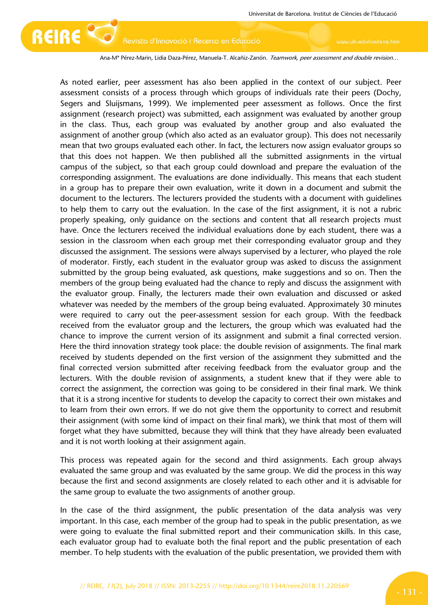

As noted earlier, peer assessment has also been applied in the context of our subject. Peer assessment consists of a process through which groups of individuals rate their peers (Dochy, Segers and Sluijsmans, 1999). We implemented peer assessment as follows. Once the first assignment (research project) was submitted, each assignment was evaluated by another group in the class. Thus, each group was evaluated by another group and also evaluated the assignment of another group (which also acted as an evaluator group). This does not necessarily mean that two groups evaluated each other. In fact, the lecturers now assign evaluator groups so that this does not happen. We then published all the submitted assignments in the virtual campus of the subject, so that each group could download and prepare the evaluation of the corresponding assignment. The evaluations are done individually. This means that each student in a group has to prepare their own evaluation, write it down in a document and submit the document to the lecturers. The lecturers provided the students with a document with guidelines to help them to carry out the evaluation. In the case of the first assignment, it is not a rubric properly speaking, only guidance on the sections and content that all research projects must have. Once the lecturers received the individual evaluations done by each student, there was a session in the classroom when each group met their corresponding evaluator group and they discussed the assignment. The sessions were always supervised by a lecturer, who played the role of moderator. Firstly, each student in the evaluator group was asked to discuss the assignment submitted by the group being evaluated, ask questions, make suggestions and so on. Then the members of the group being evaluated had the chance to reply and discuss the assignment with the evaluator group. Finally, the lecturers made their own evaluation and discussed or asked whatever was needed by the members of the group being evaluated. Approximately 30 minutes were required to carry out the peer-assessment session for each group. With the feedback received from the evaluator group and the lecturers, the group which was evaluated had the chance to improve the current version of its assignment and submit a final corrected version. Here the third innovation strategy took place: the double revision of assignments. The final mark received by students depended on the first version of the assignment they submitted and the final corrected version submitted after receiving feedback from the evaluator group and the lecturers. With the double revision of assignments, a student knew that if they were able to correct the assignment, the correction was going to be considered in their final mark. We think that it is a strong incentive for students to develop the capacity to correct their own mistakes and to learn from their own errors. If we do not give them the opportunity to correct and resubmit their assignment (with some kind of impact on their final mark), we think that most of them will forget what they have submitted, because they will think that they have already been evaluated and it is not worth looking at their assignment again.

This process was repeated again for the second and third assignments. Each group always evaluated the same group and was evaluated by the same group. We did the process in this way because the first and second assignments are closely related to each other and it is advisable for the same group to evaluate the two assignments of another group.

In the case of the third assignment, the public presentation of the data analysis was very important. In this case, each member of the group had to speak in the public presentation, as we were going to evaluate the final submitted report and their communication skills. In this case, each evaluator group had to evaluate both the final report and the public presentation of each member. To help students with the evaluation of the public presentation, we provided them with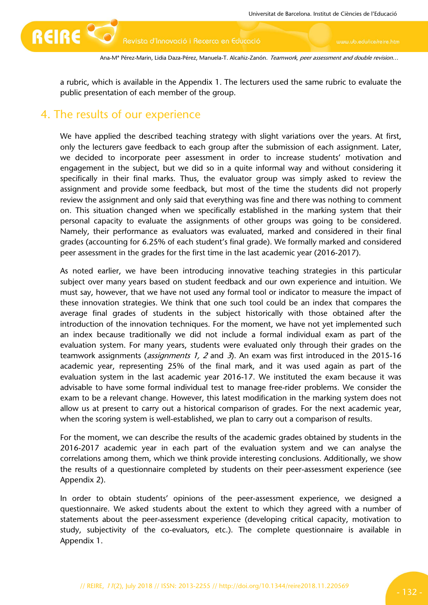

a rubric, which is available in the Appendix 1. The lecturers used the same rubric to evaluate the public presentation of each member of the group.

### 4. The results of our experience

We have applied the described teaching strategy with slight variations over the years. At first, only the lecturers gave feedback to each group after the submission of each assignment. Later, we decided to incorporate peer assessment in order to increase students' motivation and engagement in the subject, but we did so in a quite informal way and without considering it specifically in their final marks. Thus, the evaluator group was simply asked to review the assignment and provide some feedback, but most of the time the students did not properly review the assignment and only said that everything was fine and there was nothing to comment on. This situation changed when we specifically established in the marking system that their personal capacity to evaluate the assignments of other groups was going to be considered. Namely, their performance as evaluators was evaluated, marked and considered in their final grades (accounting for 6.25% of each student's final grade). We formally marked and considered peer assessment in the grades for the first time in the last academic year (2016-2017).

As noted earlier, we have been introducing innovative teaching strategies in this particular subject over many years based on student feedback and our own experience and intuition. We must say, however, that we have not used any formal tool or indicator to measure the impact of these innovation strategies. We think that one such tool could be an index that compares the average final grades of students in the subject historically with those obtained after the introduction of the innovation techniques. For the moment, we have not yet implemented such an index because traditionally we did not include a formal individual exam as part of the evaluation system. For many years, students were evaluated only through their grades on the teamwork assignments (assignments 1, 2 and 3). An exam was first introduced in the 2015-16 academic year, representing 25% of the final mark, and it was used again as part of the evaluation system in the last academic year 2016-17. We instituted the exam because it was advisable to have some formal individual test to manage free-rider problems. We consider the exam to be a relevant change. However, this latest modification in the marking system does not allow us at present to carry out a historical comparison of grades. For the next academic year, when the scoring system is well-established, we plan to carry out a comparison of results.

For the moment, we can describe the results of the academic grades obtained by students in the 2016-2017 academic year in each part of the evaluation system and we can analyse the correlations among them, which we think provide interesting conclusions. Additionally, we show the results of a questionnaire completed by students on their peer-assessment experience (see Appendix 2).

In order to obtain students' opinions of the peer-assessment experience, we designed a questionnaire. We asked students about the extent to which they agreed with a number of statements about the peer-assessment experience (developing critical capacity, motivation to study, subjectivity of the co-evaluators, etc.). The complete questionnaire is available in Appendix 1.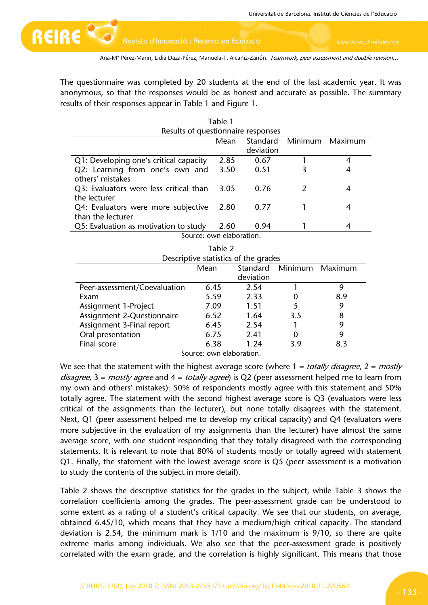

The questionnaire was completed by 20 students at the end of the last academic year. It was anonymous, so that the responses would be as honest and accurate as possible. The summary results of their responses appear in Table 1 and Figure 1.

| Table 1                                |      |           |                          |   |  |  |  |
|----------------------------------------|------|-----------|--------------------------|---|--|--|--|
| Results of questionnaire responses     |      |           |                          |   |  |  |  |
|                                        | Mean |           | Standard Minimum Maximum |   |  |  |  |
|                                        |      | deviation |                          |   |  |  |  |
| Q1: Developing one's critical capacity | 2.85 | 0.67      |                          | 4 |  |  |  |
| Q2: Learning from one's own and        | 3.50 | 0.51      | 3                        | 4 |  |  |  |
| others' mistakes                       |      |           |                          |   |  |  |  |
| Q3: Evaluators were less critical than | 3.05 | 0.76      |                          | 4 |  |  |  |
| the lecturer                           |      |           |                          |   |  |  |  |
| Q4: Evaluators were more subjective    | 2.80 | 0.77      |                          | 4 |  |  |  |
| than the lecturer                      |      |           |                          |   |  |  |  |
| Q5: Evaluation as motivation to study  | 2.60 | 0.94      |                          |   |  |  |  |
| Source: own elaboration.               |      |           |                          |   |  |  |  |

| Table 2                              |      |           |     |                 |  |  |
|--------------------------------------|------|-----------|-----|-----------------|--|--|
| Descriptive statistics of the grades |      |           |     |                 |  |  |
|                                      | Mean | Standard  |     | Minimum Maximum |  |  |
|                                      |      | deviation |     |                 |  |  |
| Peer-assessment/Coevaluation         | 6.45 | 2.54      |     | 9               |  |  |
| Exam                                 | 5.59 | 2.33      |     | 8.9             |  |  |
| Assignment 1-Project                 | 7.09 | 1.51      |     | 9               |  |  |
| Assignment 2-Questionnaire           | 6.52 | 1.64      | 3.5 | 8               |  |  |
| Assignment 3-Final report            | 6.45 | 2.54      |     | 9               |  |  |
| Oral presentation                    | 6.75 | 2.41      | 0   | 9               |  |  |
| Final score                          | 6.38 | 1.24      | 3.9 | 8.3             |  |  |
| Course our olaboration               |      |           |     |                 |  |  |

Source: own elaboration.

We see that the statement with the highest average score (where  $1 = totally disagree, 2 = mostly$ disagree,  $3 = \text{mostly}$  agree and  $4 = \text{totally}$  agree) is Q2 (peer assessment helped me to learn from my own and others' mistakes): 50% of respondents mostly agree with this statement and 50% totally agree. The statement with the second highest average score is Q3 (evaluators were less critical of the assignments than the lecturer), but none totally disagrees with the statement. Next, Q1 (peer assessment helped me to develop my critical capacity) and Q4 (evaluators were more subjective in the evaluation of my assignments than the lecturer) have almost the same average score, with one student responding that they totally disagreed with the corresponding statements. It is relevant to note that 80% of students mostly or totally agreed with statement Q1. Finally, the statement with the lowest average score is Q5 (peer assessment is a motivation to study the contents of the subject in more detail).

Table 2 shows the descriptive statistics for the grades in the subject, while Table 3 shows the correlation coefficients among the grades. The peer-assessment grade can be understood to some extent as a rating of a student's critical capacity. We see that our students, on average, obtained 6.45/10, which means that they have a medium/high critical capacity. The standard deviation is 2.54, the minimum mark is 1/10 and the maximum is 9/10, so there are quite extreme marks among individuals. We also see that the peer-assessment grade is positively correlated with the exam grade, and the correlation is highly significant. This means that those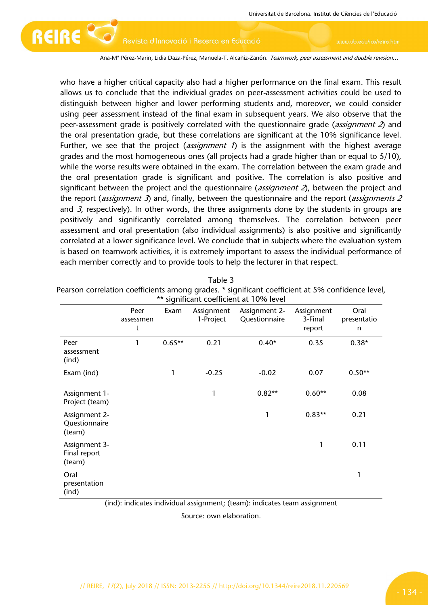

who have a higher critical capacity also had a higher performance on the final exam. This result allows us to conclude that the individual grades on peer-assessment activities could be used to distinguish between higher and lower performing students and, moreover, we could consider using peer assessment instead of the final exam in subsequent years. We also observe that the peer-assessment grade is positively correlated with the questionnaire grade (*assignment 2*) and the oral presentation grade, but these correlations are significant at the 10% significance level. Further, we see that the project (*assignment 1*) is the assignment with the highest average grades and the most homogeneous ones (all projects had a grade higher than or equal to 5/10), while the worse results were obtained in the exam. The correlation between the exam grade and the oral presentation grade is significant and positive. The correlation is also positive and significant between the project and the questionnaire (*assignment 2*), between the project and the report (*assignment 3*) and, finally, between the questionnaire and the report (*assignments 2* and  $3$ , respectively). In other words, the three assignments done by the students in groups are positively and significantly correlated among themselves. The correlation between peer assessment and oral presentation (also individual assignments) is also positive and significantly correlated at a lower significance level. We conclude that in subjects where the evaluation system is based on teamwork activities, it is extremely important to assess the individual performance of each member correctly and to provide tools to help the lecturer in that respect.

| ** significant coefficient at 10% level  |                        |           |                         |                                |                                 |                          |  |  |
|------------------------------------------|------------------------|-----------|-------------------------|--------------------------------|---------------------------------|--------------------------|--|--|
|                                          | Peer<br>assessmen<br>t | Exam      | Assignment<br>1-Project | Assignment 2-<br>Questionnaire | Assignment<br>3-Final<br>report | Oral<br>presentatio<br>n |  |  |
| Peer<br>assessment<br>(ind)              | 1                      | $0.65***$ | 0.21                    | $0.40*$                        | 0.35                            | $0.38*$                  |  |  |
| Exam (ind)                               |                        | 1         | $-0.25$                 | $-0.02$                        | 0.07                            | $0.50**$                 |  |  |
| Assignment 1-<br>Project (team)          |                        |           | 1                       | $0.82**$                       | $0.60**$                        | 0.08                     |  |  |
| Assignment 2-<br>Questionnaire<br>(team) |                        |           |                         | 1                              | $0.83**$                        | 0.21                     |  |  |
| Assignment 3-<br>Final report<br>(team)  |                        |           |                         |                                | $\mathbf{1}$                    | 0.11                     |  |  |
| Oral<br>presentation<br>(ind)            |                        |           |                         |                                |                                 | 1                        |  |  |

Pearson correlation coefficients among grades. \* significant coefficient at 5% confidence level,

Table 3

(ind): indicates individual assignment; (team): indicates team assignment

Source: own elaboration.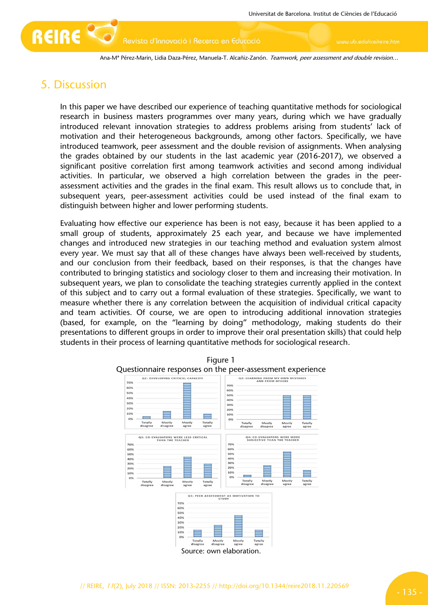

### 5. Discussion

In this paper we have described our experience of teaching quantitative methods for sociological research in business masters programmes over many years, during which we have gradually introduced relevant innovation strategies to address problems arising from students' lack of motivation and their heterogeneous backgrounds, among other factors. Specifically, we have introduced teamwork, peer assessment and the double revision of assignments. When analysing the grades obtained by our students in the last academic year (2016-2017), we observed a significant positive correlation first among teamwork activities and second among individual activities. In particular, we observed a high correlation between the grades in the peerassessment activities and the grades in the final exam. This result allows us to conclude that, in subsequent years, peer-assessment activities could be used instead of the final exam to distinguish between higher and lower performing students.

Evaluating how effective our experience has been is not easy, because it has been applied to a small group of students, approximately 25 each year, and because we have implemented changes and introduced new strategies in our teaching method and evaluation system almost every year. We must say that all of these changes have always been well-received by students, and our conclusion from their feedback, based on their responses, is that the changes have contributed to bringing statistics and sociology closer to them and increasing their motivation. In subsequent years, we plan to consolidate the teaching strategies currently applied in the context of this subject and to carry out a formal evaluation of these strategies. Specifically, we want to measure whether there is any correlation between the acquisition of individual critical capacity and team activities. Of course, we are open to introducing additional innovation strategies (based, for example, on the "learning by doing" methodology, making students do their presentations to different groups in order to improve their oral presentation skills) that could help students in their process of learning quantitative methods for sociological research.

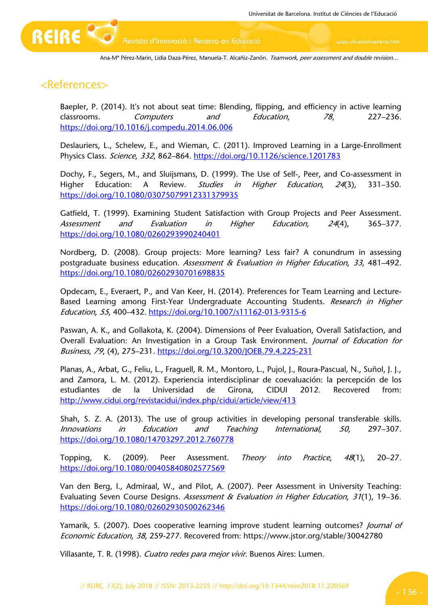

# <References>

Baepler, P. (2014). It's not about seat time: Blending, flipping, and efficiency in active learning classrooms. Computers and Education, 78, 227–236. https://doi.org/10.1016/j.compedu.2014.06.006

Deslauriers, L., Schelew, E., and Wieman, C. (2011). Improved Learning in a Large-Enrollment Physics Class. Science, 332, 862–864. https://doi.org/10.1126/science.1201783

Dochy, F., Segers, M., and Sluijsmans, D. (1999). The Use of Self-, Peer, and Co-assessment in Higher Education: A Review. Studies in Higher Education, 24(3), 331-350. https://doi.org/10.1080/03075079912331379935

Gatfield, T. (1999). Examining Student Satisfaction with Group Projects and Peer Assessment. Assessment and Evaluation in Higher Education, 24(4), 365–377. https://doi.org/10.1080/0260293990240401

Nordberg, D. (2008). Group projects: More learning? Less fair? A conundrum in assessing postgraduate business education. Assessment & Evaluation in Higher Education, 33, 481-492. https://doi.org/10.1080/02602930701698835

Opdecam, E., Everaert, P., and Van Keer, H. (2014). Preferences for Team Learning and Lecture-Based Learning among First-Year Undergraduate Accounting Students. Research in Higher Education, 55, 400–432. https://doi.org/10.1007/s11162-013-9315-6

Paswan, A. K., and Gollakota, K. (2004). Dimensions of Peer Evaluation, Overall Satisfaction, and Overall Evaluation: An Investigation in a Group Task Environment. Journal of Education for Business, 79, (4), 275–231. https://doi.org/10.3200/JOEB.79.4.225-231

Planas, A., Arbat, G., Feliu, L., Fraguell, R. M., Montoro, L., Pujol, J., Roura-Pascual, N., Suñol, J. J., and Zamora, L. M. (2012). Experiencia interdisciplinar de coevaluación: la percepción de los estudiantes de la Universidad de Girona, CIDUI 2012. Recovered from: http://www.cidui.org/revistacidui/index.php/cidui/article/view/413

Shah, S. Z. A. (2013). The use of group activities in developing personal transferable skills. Innovations in Education and Teaching International, 50, 297–307. https://doi.org/10.1080/14703297.2012.760778

Topping, K. (2009). Peer Assessment. Theory into Practice, 48(1), 20–27. https://doi.org/10.1080/00405840802577569

Van den Berg, I., Admiraal, W., and Pilot, A. (2007). Peer Assessment in University Teaching: Evaluating Seven Course Designs. Assessment & Evaluation in Higher Education, 31(1), 19-36. https://doi.org/10.1080/02602930500262346

Yamarik, S. (2007). Does cooperative learning improve student learning outcomes? Journal of Economic Education, 38, 259-277. Recovered from: https://www.jstor.org/stable/30042780

Villasante, T. R. (1998). Cuatro redes para mejor vivir. Buenos Aires: Lumen.